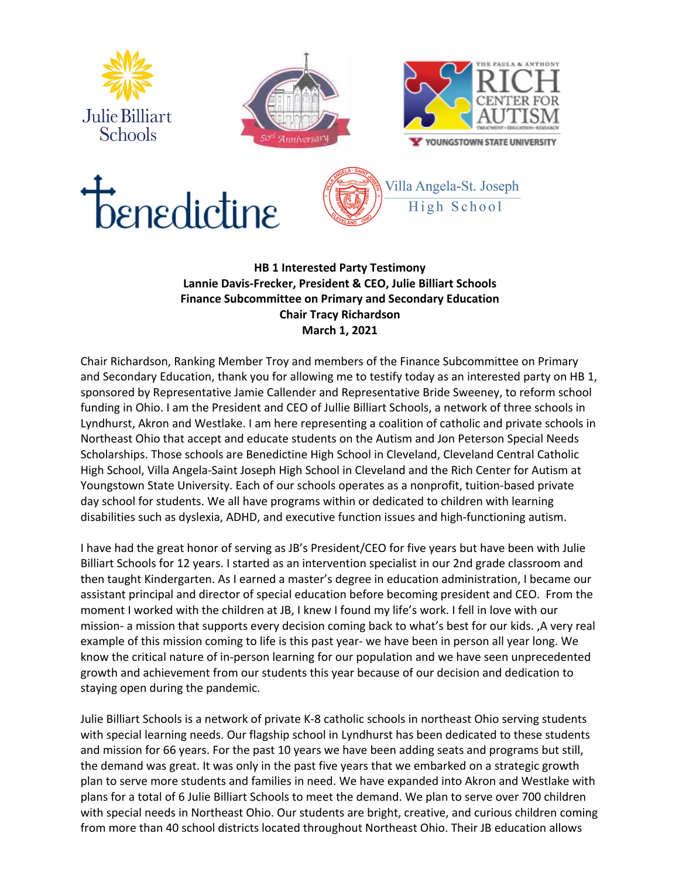









## **HB 1 Interested Party Testimony Lannie Davis-Frecker, President & CEO, Julie Billiart Schools Finance Subcommittee on Primary and Secondary Education Chair Tracy Richardson March 1, 2021**

Chair Richardson, Ranking Member Troy and members of the Finance Subcommittee on Primary and Secondary Education, thank you for allowing me to testify today as an interested party on HB 1, sponsored by Representative Jamie Callender and Representative Bride Sweeney, to reform school funding in Ohio. I am the President and CEO of Jullie Billiart Schools, a network of three schools in Lyndhurst, Akron and Westlake. I am here representing a coalition of catholic and private schools in Northeast Ohio that accept and educate students on the Autism and Jon Peterson Special Needs Scholarships. Those schools are Benedictine High School in Cleveland, Cleveland Central Catholic High School, Villa Angela-Saint Joseph High School in Cleveland and the Rich Center for Autism at Youngstown State University. Each of our schools operates as a nonprofit, tuition-based private day school for students. We all have programs within or dedicated to children with learning disabilities such as dyslexia, ADHD, and executive function issues and high-functioning autism.

I have had the great honor of serving as JB's President/CEO for five years but have been with Julie Billiart Schools for 12 years. I started as an intervention specialist in our 2nd grade classroom and then taught Kindergarten. As I earned a master's degree in education administration, I became our assistant principal and director of special education before becoming president and CEO. From the moment I worked with the children at JB, I knew I found my life's work. I fell in love with our mission- a mission that supports every decision coming back to what's best for our kids. ,A very real example of this mission coming to life is this past year- we have been in person all year long. We know the critical nature of in-person learning for our population and we have seen unprecedented growth and achievement from our students this year because of our decision and dedication to staying open during the pandemic.

Julie Billiart Schools is a network of private K-8 catholic schools in northeast Ohio serving students with special learning needs. Our flagship school in Lyndhurst has been dedicated to these students and mission for 66 years. For the past 10 years we have been adding seats and programs but still, the demand was great. It was only in the past five years that we embarked on a strategic growth plan to serve more students and families in need. We have expanded into Akron and Westlake with plans for a total of 6 Julie Billiart Schools to meet the demand. We plan to serve over 700 children with special needs in Northeast Ohio. Our students are bright, creative, and curious children coming from more than 40 school districts located throughout Northeast Ohio. Their JB education allows